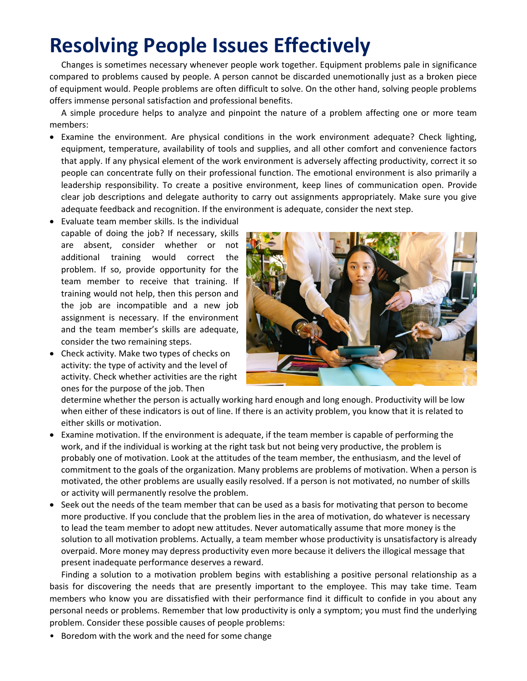## **Resolving People Issues Effectively**

Changes is sometimes necessary whenever people work together. Equipment problems pale in significance compared to problems caused by people. A person cannot be discarded unemotionally just as a broken piece of equipment would. People problems are often difficult to solve. On the other hand, solving people problems offers immense personal satisfaction and professional benefits.

A simple procedure helps to analyze and pinpoint the nature of a problem affecting one or more team members:

- Examine the environment. Are physical conditions in the work environment adequate? Check lighting, equipment, temperature, availability of tools and supplies, and all other comfort and convenience factors that apply. If any physical element of the work environment is adversely affecting productivity, correct it so people can concentrate fully on their professional function. The emotional environment is also primarily a leadership responsibility. To create a positive environment, keep lines of communication open. Provide clear job descriptions and delegate authority to carry out assignments appropriately. Make sure you give adequate feedback and recognition. If the environment is adequate, consider the next step.
- Evaluate team member skills. Is the individual capable of doing the job? If necessary, skills are absent, consider whether or not additional training would correct the problem. If so, provide opportunity for the team member to receive that training. If training would not help, then this person and the job are incompatible and a new job assignment is necessary. If the environment and the team member's skills are adequate, consider the two remaining steps.
- Check activity. Make two types of checks on activity: the type of activity and the level of activity. Check whether activities are the right ones for the purpose of the job. Then



determine whether the person is actually working hard enough and long enough. Productivity will be low when either of these indicators is out of line. If there is an activity problem, you know that it is related to either skills or motivation.

- Examine motivation. If the environment is adequate, if the team member is capable of performing the work, and if the individual is working at the right task but not being very productive, the problem is probably one of motivation. Look at the attitudes of the team member, the enthusiasm, and the level of commitment to the goals of the organization. Many problems are problems of motivation. When a person is motivated, the other problems are usually easily resolved. If a person is not motivated, no number of skills or activity will permanently resolve the problem.
- Seek out the needs of the team member that can be used as a basis for motivating that person to become more productive. If you conclude that the problem lies in the area of motivation, do whatever is necessary to lead the team member to adopt new attitudes. Never automatically assume that more money is the solution to all motivation problems. Actually, a team member whose productivity is unsatisfactory is already overpaid. More money may depress productivity even more because it delivers the illogical message that present inadequate performance deserves a reward.

Finding a solution to a motivation problem begins with establishing a positive personal relationship as a basis for discovering the needs that are presently important to the employee. This may take time. Team members who know you are dissatisfied with their performance find it difficult to confide in you about any personal needs or problems. Remember that low productivity is only a symptom; you must find the underlying problem. Consider these possible causes of people problems:

• Boredom with the work and the need for some change